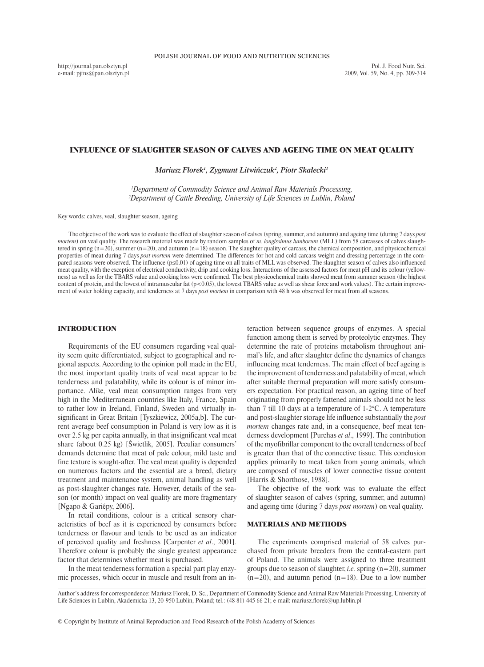http://journal.pan.olsztyn.pl e-mail: pjfns@pan.olsztyn.pl

## INFLUENCE OF SLAUGHTER SEASON OF CALVES AND AGEING TIME ON MEAT QUALITY

*Mariusz Florek1 , Zygmunt Litwińczuk<sup>2</sup> , Piotr Skałecki<sup>1</sup>*

*<sup>1</sup>Department of Commodity Science and Animal Raw Materials Processing, 20*<br><sup>2</sup>Department of Cattle Breeding, University of Life Sciences in Lublin, Poland *Department of Cattle Breeding, University of Life Sciences in Lublin, Poland*

Key words: calves, veal, slaughter season, ageing

The objective of the work was to evaluate the effect of slaughter season of calves (spring, summer, and autumn) and ageing time (during 7 days *post mortem*) on veal quality. The research material was made by random samples of *m. longissimus lumborum* (MLL) from 58 carcasses of calves slaughtered in spring  $(n=20)$ , summer  $(n=20)$ , and autumn  $(n=18)$  season. The slaughter quality of carcass, the chemical composition, and physicochemical properties of meat during 7 days *post mortem* were determined. The differences for hot and cold carcass weight and dressing percentage in the compared seasons were observed. The influence (p≤0.01) of ageing time on all traits of MLL was observed. The slaughter season of calves also influenced meat quality, with the exception of electrical conductivity, drip and cooking loss. Interactions of the assessed factors for meat pH and its colour (yellowness) as well as for the TBARS value and cooking loss were confirmed. The best physicochemical traits showed meat from summer season (the highest content of protein, and the lowest of intramuscular fat  $(p<0.05)$ , the lowest TBARS value as well as shear force and work values). The certain improvement of water holding capacity, and tenderness at 7 days *post mortem* in comparison with 48 h was observed for meat from all seasons.

## INTRODUCTION

Requirements of the EU consumers regarding veal quality seem quite differentiated, subject to geographical and regional aspects. According to the opinion poll made in the EU, the most important quality traits of veal meat appear to be tenderness and palatability, while its colour is of minor importance. Alike, veal meat consumption ranges from very high in the Mediterranean countries like Italy, France, Spain to rather low in Ireland, Finland, Sweden and virtually insignificant in Great Britain [Tyszkiewicz, 2005a,b]. The current average beef consumption in Poland is very low as it is over 2.5 kg per capita annually, in that insignificant veal meat share (about 0.25 kg) [Świetlik, 2005]. Peculiar consumers' demands determine that meat of pale colour, mild taste and fine texture is sought-after. The veal meat quality is depended on numerous factors and the essential are a breed, dietary treatment and maintenance system, animal handling as well as post-slaughter changes rate. However, details of the season (or month) impact on veal quality are more fragmentary [Ngapo & Gariépy, 2006].

In retail conditions, colour is a critical sensory characteristics of beef as it is experienced by consumers before tenderness or flavour and tends to be used as an indicator of perceived quality and freshness [Carpenter *et al*., 2001]. Therefore colour is probably the single greatest appearance factor that determines whether meat is purchased.

In the meat tenderness formation a special part play enzymic processes, which occur in muscle and result from an interaction between sequence groups of enzymes. A special function among them is served by proteolytic enzymes. They determine the rate of proteins metabolism throughout animal's life, and after slaughter define the dynamics of changes influencing meat tenderness. The main effect of beef ageing is the improvement of tenderness and palatability of meat, which after suitable thermal preparation will more satisfy consumers expectation. For practical reason, an ageing time of beef originating from properly fattened animals should not be less than 7 till 10 days at a temperature of 1-2°C. A temperature and post-slaughter storage life influence substantially the *post mortem* changes rate and, in a consequence, beef meat tenderness development [Purchas *et al*., 1999]. The contribution of the myofibrillar component to the overall tenderness of beef is greater than that of the connective tissue. This conclusion applies primarily to meat taken from young animals, which are composed of muscles of lower connective tissue content [Harris & Shorthose, 1988].

The objective of the work was to evaluate the effect of slaughter season of calves (spring, summer, and autumn) and ageing time (during 7 days *post mortem*) on veal quality.

#### MATERIALS AND METHODS

The experiments comprised material of 58 calves purchased from private breeders from the central-eastern part of Poland. The animals were assigned to three treatment groups due to season of slaughter, *i.e.* spring (n=20), summer  $(n=20)$ , and autumn period  $(n=18)$ . Due to a low number

Author's address for correspondence: Mariusz Florek, D. Sc., Department of Commodity Science and Animal Raw Materials Processing, University of Life Sciences in Lublin, Akademicka 13, 20-950 Lublin, Poland; tel.: (48 81) 445 66 21; e-mail: mariusz.florek@up.lublin.pl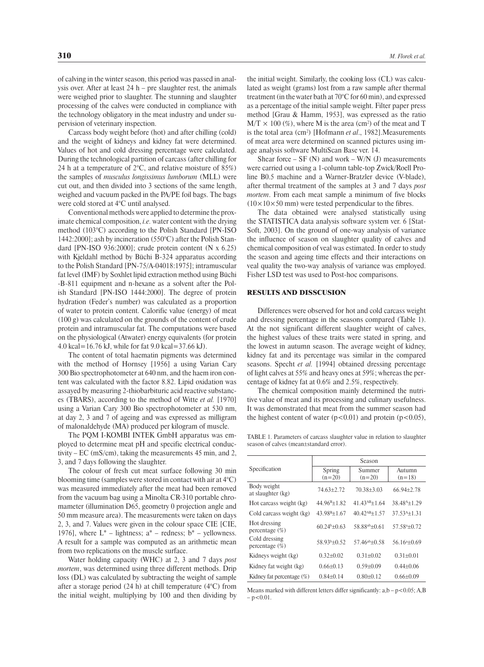of calving in the winter season, this period was passed in analysis over. After at least 24 h – pre slaughter rest, the animals were weighed prior to slaughter. The stunning and slaughter processing of the calves were conducted in compliance with the technology obligatory in the meat industry and under supervision of veterinary inspection.

Carcass body weight before (hot) and after chilling (cold) and the weight of kidneys and kidney fat were determined. Values of hot and cold dressing percentage were calculated. During the technological partition of carcass (after chilling for 24 h at a temperature of  $2^{\circ}$ C, and relative moisture of 85%) the samples of *musculus longissimus lumborum* (MLL) were cut out, and then divided into 3 sections of the same length, weighed and vacuum packed in the PA/PE foil bags. The bags were cold stored at 4°C until analysed.

Conventional methods were applied to determine the proximate chemical composition, *i.e.* water content with the drying method (103°C) according to the Polish Standard [PN-ISO 1442:2000]; ash by incineration (550°C) after the Polish Standard [PN-ISO 936:2000]; crude protein content (N x 6.25) with Kjeldahl method by Büchi B-324 apparatus according to the Polish Standard [PN-75/A-04018:1975]; intramuscular fat level (IMF) by Soxhlet lipid extraction method using Büchi -B-811 equipment and n-hexane as a solvent after the Polish Standard [PN-ISO 1444:2000]. The degree of protein hydration (Feder's number) was calculated as a proportion of water to protein content. Calorific value (energy) of meat (100 g) was calculated on the grounds of the content of crude protein and intramuscular fat. The computations were based on the physiological (Atwater) energy equivalents (for protein 4.0 kcal=16.76 kJ, while for fat 9.0 kcal=37.66 kJ).

The content of total haematin pigments was determined with the method of Hornsey [1956] a using Varian Cary 300 Bio spectrophotometer at 640 nm, and the haem iron content was calculated with the factor 8.82. Lipid oxidation was assayed by measuring 2-thiobarbituric acid reactive substances (TBARS), according to the method of Witte *et al.* [1970] using a Varian Cary 300 Bio spectrophotometer at 530 nm, at day 2, 3 and 7 of ageing and was expressed as milligram of malonaldehyde (MA) produced per kilogram of muscle.

The PQM I-KOMBI INTEK GmbH apparatus was employed to determine meat pH and specific electrical conductivity – EC (mS/cm), taking the measurements 45 min, and 2, 3, and 7 days following the slaughter.

The colour of fresh cut meat surface following 30 min blooming time (samples were stored in contact with air at 4°C) was measured immediately after the meat had been removed from the vacuum bag using a Minolta CR-310 portable chromameter (illumination D65, geometry 0 projection angle and 50 mm measure area). The measurements were taken on days 2, 3, and 7. Values were given in the colour space CIE [CIE, 1976], where  $L^*$  – lightness;  $a^*$  – redness;  $b^*$  – yellowness. A result for a sample was computed as an arithmetic mean from two replications on the muscle surface.

Water holding capacity (WHC) at 2, 3 and 7 days *post mortem*, was determined using three different methods. Drip loss (DL) was calculated by subtracting the weight of sample after a storage period (24 h) at chill temperature (4°C) from the initial weight, multiplying by 100 and then dividing by the initial weight. Similarly, the cooking loss (CL) was calculated as weight (grams) lost from a raw sample after thermal treatment (in thewater bath at 70°C for 60 min), and expressed as a percentage of the initial sample weight. Filter paper press method [Grau & Hamm, 1953], was expressed as the ratio  $M/T \times 100 \, \%$ ), where M is the area (cm<sup>2</sup>) of the meat and T is the total area (cm2 ) [Hofmann *et al*., 1982].Measurements of meat area were determined on scanned pictures using image analysis software MultiScan Base ver. 14.

Shear force  $-$  SF (N) and work  $-$  W/N (J) measurements were carried out using a 1-column table-top Zwick/Roell Proline B0.5 machine and a Warner-Bratzler device (V-blade), after thermal treatment of the samples at 3 and 7 days *post mortem*. From each meat sample a minimum of five blocks  $(10\times10\times50$  mm) were tested perpendicular to the fibres.

The data obtained were analysed statistically using the STATISTICA data analysis software system ver. 6 [Stat-Soft, 2003]. On the ground of one-way analysis of variance the influence of season on slaughter quality of calves and chemical composition of veal was estimated. In order to study the season and ageing time effects and their interactions on veal quality the two-way analysis of variance was employed. Fisher LSD test was used to Post-hoc comparisons.

#### RESULTS AND DISSCUSION

Differences were observed for hot and cold carcass weight and dressing percentage in the seasons compared (Table 1). At the not significant different slaughter weight of calves, the highest values of these traits were stated in spring, and the lowest in autumn season. The average weight of kidney, kidney fat and its percentage was similar in the compared seasons. Specht *et al.* [1994] obtained dressing percentage of light calves at 55% and heavy ones at 59%; whereas the percentage of kidney fat at 0.6% and 2.5%, respectively.

The chemical composition mainly determined the nutritive value of meat and its processing and culinary usefulness. It was demonstrated that meat from the summer season had the highest content of water  $(p<0.01)$  and protein  $(p<0.05)$ ,

Table 1. Parameters of carcass slaughter value in relation to slaughter season of calves (mean±standard error).

|                                    | Season             |                       |                    |
|------------------------------------|--------------------|-----------------------|--------------------|
| Specification                      | Spring<br>$(n=20)$ | Summer<br>$(n=20)$    | Autumn<br>$(n=18)$ |
| Body weight<br>at slaughter (kg)   | $74.63 + 2.72$     | $70.38 + 3.03$        | $66.94 + 2.78$     |
| Hot carcass weight (kg)            | $44.96^{B+1}$ .82  | $41.43^{AB}+1.64$     | $38.48^{A+1}$ .29  |
| Cold carcass weight (kg)           | $43.98^{B+1.67}$   | $40.42^{AB} \pm 1.57$ | $37.53^{4}+1.31$   |
| Hot dressing<br>percentage $(\%)$  | $60.24 + 0.63$     | $58.88^{ab} + 0.61$   | $57.58^{a}+0.72$   |
| Cold dressing<br>percentage $(\%)$ | $58.93b+0.52$      | $57.46^{ab} + 0.58$   | $56.16^{a+0.69}$   |
| Kidneys weight (kg)                | $0.32 + 0.02$      | $0.31 + 0.02$         | $0.31 + 0.01$      |
| Kidney fat weight (kg)             | $0.66 + 0.13$      | $0.59 \pm 0.09$       | $0.44 + 0.06$      |
| Kidney fat percentage $(\%)$       | $0.84 + 0.14$      | $0.80 \pm 0.12$       | $0.66 \pm 0.09$    |

Means marked with different letters differ significantly:  $a,b-p<0.05$ ; A,B  $-p < 0.01$ .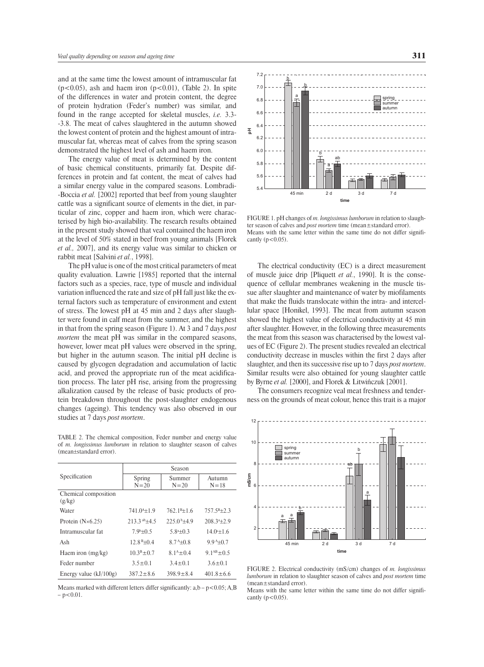and at the same time the lowest amount of intramuscular fat  $(p<0.05)$ , ash and haem iron  $(p<0.01)$ , (Table 2). In spite of the differences in water and protein content, the degree of protein hydration (Feder's number) was similar, and found in the range accepted for skeletal muscles, *i.e.* 3.3- -3.8. The meat of calves slaughtered in the autumn showed the lowest content of protein and the highest amount of intramuscular fat, whereas meat of calves from the spring season demonstrated the highest level of ash and haem iron.

The energy value of meat is determined by the content of basic chemical constituents, primarily fat. Despite differences in protein and fat content, the meat of calves had a similar energy value in the compared seasons. Lombradi- -Boccia *et al.* [2002] reported that beef from young slaughter cattle was a significant source of elements in the diet, in particular of zinc, copper and haem iron, which were characterised by high bio-availability. The research results obtained in the present study showed that veal contained the haem iron at the level of 50% stated in beef from young animals [Florek *et al.,* 2007], and its energy value was similar to chicken or rabbit meat [Salvini *et al.*, 1998].

The pH value is one of the most critical parameters of meat quality evaluation. Lawrie [1985] reported that the internal factors such as a species, race, type of muscle and individual variation influenced the rate and size of pH fall just like the external factors such as temperature of environment and extent of stress. The lowest pH at 45 min and 2 days after slaughter were found in calf meat from the summer, and the highest in that from the spring season (Figure 1). At 3 and 7 days *post mortem* the meat pH was similar in the compared seasons, however, lower meat pH values were observed in the spring, but higher in the autumn season. The initial pH decline is caused by glycogen degradation and accumulation of lactic acid, and proved the appropriate run of the meat acidification process. The later pH rise, arising from the progressing alkalization caused by the release of basic products of protein breakdown throughout the post-slaughter endogenous changes (ageing). This tendency was also observed in our studies at 7 days *post mortem*.

Table 2. The chemical composition, Feder number and energy value of *m. longissimus lumborum* in relation to slaughter season of calves (mean±standard error).

|                                | Season             |                    |                             |
|--------------------------------|--------------------|--------------------|-----------------------------|
| Specification                  | Spring<br>$N = 20$ | Summer<br>$N = 20$ | Autumn<br>$N = 18$          |
| Chemical composition<br>(g/kg) |                    |                    |                             |
| Water                          | $741.0^{4+1.9}$    | $762.1B+1.6$       | $757.5B\pm2.3$              |
| Protein $(N\times6.25)$        | $213.3^{ab} + 4.5$ | $225.0b+4.9$       | $208.3a_{\pm}2.9$           |
| Intramuscular fat              | $7.9b+0.5$         | $5.8a+0.3$         | $14.0^{\circ}$ + 1.6        |
| Ash                            | $12.8 B + 0.4$     | $8.7^{A+0.8}$      | $9.9^{A+0.7}$               |
| Haem iron $(mg/kg)$            | $103B+07$          | $81^{A}+04$        | 9.1 <sup>AB</sup> $\pm$ 0.5 |
| Feder number                   | $3.5 \pm 0.1$      | $3.4 \pm 0.1$      | $3.6 \pm 0.1$               |
| Energy value $(kJ/100g)$       | $387.2 \pm 8.6$    | $398.9 \pm 8.4$    | $401.8 \pm 6.6$             |

Means marked with different letters differ significantly:  $a,b-p<0.05$ ; A,B  $-p < 0.01$ .



FIGURE 1. pH changes of *m. longissimus lumborum* in relation to slaughter season of calves and *post mortem* time (mean±standard error). Means with the same letter within the same time do not differ significantly  $(p<0.05)$ .

The electrical conductivity (EC) is a direct measurement of muscle juice drip [Pliquett *et al.*, 1990]. It is the consequence of cellular membranes weakening in the muscle tissue after slaughter and maintenance of water by miofilaments that make the fluids translocate within the intra- and intercellular space [Honikel, 1993]. The meat from autumn season showed the highest value of electrical conductivity at 45 min after slaughter. However, in the following three measurements the meat from this season was characterised by the lowest values of EC (Figure 2). The present studies revealed an electrical conductivity decrease in muscles within the first 2 days after slaughter, and then its successive rise up to 7 days *post mortem*. Similar results were also obtained for young slaughter cattle by Byrne *et al.* [2000], and Florek & Litwińczuk [2001].

The consumers recognize veal meat freshness and tenderness on the grounds of meat colour, hence this trait is a major



FIGURE 2. Electrical conductivity (mS/cm) changes of *m. longissimus lumborum* in relation to slaughter season of calves and *post mortem* time (mean±standard error).

Means with the same letter within the same time do not differ significantly  $(p<0.05)$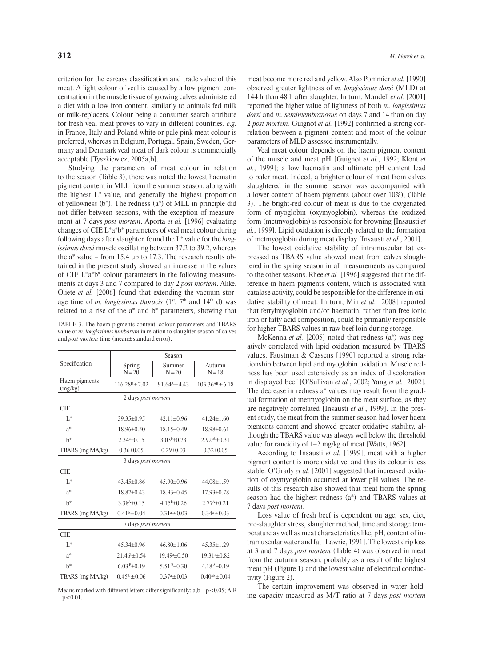criterion for the carcass classification and trade value of this meat. A light colour of veal is caused by a low pigment concentration in the muscle tissue of growing calves administered a diet with a low iron content, similarly to animals fed milk or milk-replacers. Colour being a consumer search attribute for fresh veal meat proves to vary in different countries, *e.g.* in France, Italy and Poland white or pale pink meat colour is preferred, whereas in Belgium, Portugal, Spain, Sweden, Germany and Denmark veal meat of dark colour is commercially acceptable [Tyszkiewicz, 2005a,b].

Studying the parameters of meat colour in relation to the season (Table 3), there was noted the lowest haematin pigment content in MLL from the summer season, along with the highest  $L^*$  value, and generally the highest proportion of yellowness (b\*). The redness (a\*) of MLL in principle did not differ between seasons, with the exception of measurement at 7 days *post mortem*. Aporta *et al.* [1996] evaluating changes of CIE L\*a\*b\* parameters of veal meat colour during following days after slaughter, found the L\* value for the *longissimus dorsi* muscle oscillating between 37.2 to 39.2, whereas the a\* value – from 15.4 up to 17.3. The research results obtained in the present study showed an increase in the values of CIE L\*a\*b\* colour parameters in the following measurements at days 3 and 7 compared to day 2 *post mortem*. Alike, Oliete *et al.* [2006] found that extending the vacuum storage time of *m. longissimus thoracis* (1<sup>st</sup>, 7<sup>th</sup> and 14<sup>th</sup> d) was related to a rise of the a\* and b\* parameters, showing that

Table 3. The haem pigments content, colour parameters and TBARS value of *m. longissimus lumborum* in relation to slaughter season of calves and *post mortem* time (mean±standard error).

|                          |                              | Season                   |                        |
|--------------------------|------------------------------|--------------------------|------------------------|
| Specification            | Spring<br>$N = 20$           | Summer<br>$N = 20$       | Autumn<br>$N = 18$     |
| Haem pigments<br>(mg/kg) | $116.28^{\rm B} \pm 7.02$    | $91.64^{A} \pm 4.43$     | $103.36^{AB} \pm 6.18$ |
|                          | 2 days post mortem           |                          |                        |
| <b>CIE</b>               |                              |                          |                        |
| $L^*$                    | $39.35 + 0.95$               | $42.11 + 0.96$           | $41.24 + 1.60$         |
| $a^*$                    | $18.96 + 0.50$               | $18.15+0.49$             | $18.98 + 0.61$         |
| $h^*$                    | $2.344 \pm 0.15$             | $3.03b\pm0.23$           | $2.92$ ab $\pm 0.31$   |
| TBARS (mg MA/kg)         | $0.36 + 0.05$                | $0.29 + 0.03$            | $0.32 \pm 0.05$        |
| 3 days post mortem       |                              |                          |                        |
| CIE                      |                              |                          |                        |
| $L^*$                    | $43.45 + 0.86$               | $45.90 + 0.96$           | $44.08 + 1.59$         |
| $a^*$                    | 18.87±0.43                   | $18.93 \pm 0.45$         | $17.93 \pm 0.78$       |
| $h^*$                    | $3.384 \pm 0.15$             | $4.15B\pm0.26$           | $2.774 \pm 0.21$       |
| TBARS (mg MA/kg)         | $0.41^b \pm 0.04$            | $0.31^a \pm 0.03$        | $0.34^a \pm 0.03$      |
| 7 days post mortem       |                              |                          |                        |
| <b>CIE</b>               |                              |                          |                        |
| $L^*$                    | $45.34 \pm 0.96$             | $46.80 + 1.06$           | $45.35 \pm 1.29$       |
| $a^*$                    | $21.46^{\rm b} + 0.54$       | 19.49 <sup>a</sup> ±0.50 | $19.31a \pm 0.82$      |
| $h^*$                    | $6.03 B \pm 0.19$            | $5.51 B \pm 0.30$        | $4.18^{A} \pm 0.19$    |
| TBARS (mg MA/kg)         | $0.45^{\mathrm{b}} \pm 0.06$ | $0.37^a \pm 0.03$        | $0.40^{ab} \pm 0.04$   |

Means marked with different letters differ significantly:  $a,b-p<0.05$ ; A,B  $-p < 0.01$ .

meat become more red and yellow. Also Pommier *et al.* [1990] observed greater lightness of *m. longissimus dorsi* (MLD) at 144 h than 48 h after slaughter. In turn, Mandell *et al.* [2001] reported the higher value of lightness of both *m. longissimus dorsi* and *m. semimembranosus* on days 7 and 14 than on day 2 *post mortem*. Guignot *et al.* [1992] confirmed a strong correlation between a pigment content and most of the colour parameters of MLD assessed instrumentally.

Veal meat colour depends on the haem pigment content of the muscle and meat pH [Guignot *et al.*, 1992; Klont *et al.*, 1999]; a low haematin and ultimate pH content lead to paler meat. Indeed, a brighter colour of meat from calves slaughtered in the summer season was accompanied with a lower content of haem pigments (about over 10%), (Table 3). The bright-red colour of meat is due to the oxygenated form of myoglobin (oxymyoglobin), whereas the oxidized form (metmyoglobin) is responsible for browning [Insausti *et al.*, 1999]. Lipid oxidation is directly related to the formation of metmyoglobin during meat display [Insausti *et al.*, 2001].

The lowest oxidative stability of intramuscular fat expressed as TBARS value showed meat from calves slaughtered in the spring season in all measurements as compared to the other seasons. Rhee *et al.* [1996] suggested that the difference in haem pigments content, which is associated with catalase activity, could be responsible for the difference in oxidative stability of meat. In turn, Min *et al.* [2008] reported that ferrylmyoglobin and/or haematin, rather than free ionic iron or fatty acid composition, could be primarily responsible for higher TBARS values in raw beef loin during storage.

McKenna *et al.* [2005] noted that redness (a\*) was negatively correlated with lipid oxidation measured by TBARS values. Faustman & Cassens [1990] reported a strong relationship between lipid and myoglobin oxidation. Muscle redness has been used extensively as an index of discoloration in displayed beef [O'Sullivan *et al.*, 2002; Yang *et al.*, 2002]. The decrease in redness a\* values may result from the gradual formation of metmyoglobin on the meat surface, as they are negatively correlated [Insausti *et al.*, 1999]. In the present study, the meat from the summer season had lower haem pigments content and showed greater oxidative stability, although the TBARS value was always well below the threshold value for rancidity of 1–2 mg/kg of meat [Watts, 1962].

According to Insausti *et al.* [1999], meat with a higher pigment content is more oxidative, and thus its colour is less stable. O'Grady *et al.* [2001] suggested that increased oxidation of oxymyoglobin occurred at lower pH values. The results of this research also showed that meat from the spring season had the highest redness (a\*) and TBARS values at 7 days *post mortem*.

Loss value of fresh beef is dependent on age, sex, diet, pre-slaughter stress, slaughter method, time and storage temperature as well as meat characteristics like, pH, content of intramuscular water and fat [Lawrie, 1991]. The lowest drip loss at 3 and 7 days *post mortem* (Table 4) was observed in meat from the autumn season, probably as a result of the highest meat pH (Figure 1) and the lowest value of electrical conductivity (Figure 2).

The certain improvement was observed in water holding capacity measured as M/T ratio at 7 days *post mortem*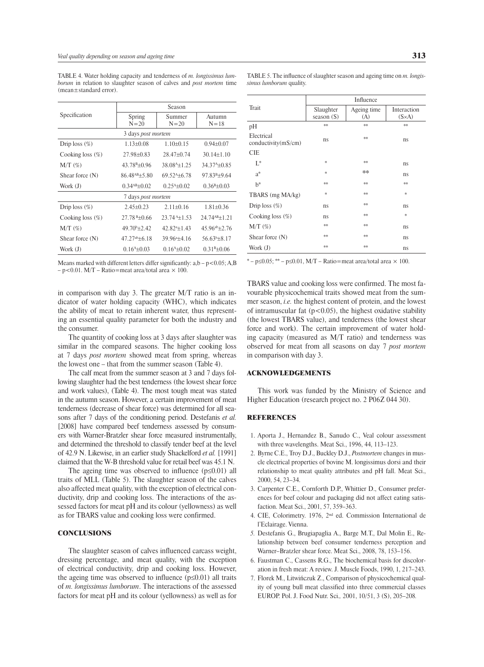| Specification       | Season                      |                          |                          |
|---------------------|-----------------------------|--------------------------|--------------------------|
|                     | Spring<br>$N = 20$          | Summer<br>$N = 20$       | Autumn<br>$N = 18$       |
|                     | 3 days <i>post mortem</i>   |                          |                          |
| Drip loss $(\%)$    | $1.13 + 0.08$               | $1.10+0.15$              | $0.94 + 0.07$            |
| Cooking loss $(\%)$ | $27.98 + 0.83$              | $28.47+0.74$             | $30.14 + 1.10$           |
| $M/T$ $(\%)$        | $43.78^{B} \pm 0.96$        | 38.08 <sup>A</sup> ±1.25 | 34.37 <sup>A</sup> ±0.85 |
| Shear force $(N)$   | $86.48^{AB} \pm 5.80$       | $69.52^{A+6.78}$         | $97.83^{B+9.64}$         |
| Work (J)            | $0.34^{AB} \pm 0.02$        | $0.25^{A} \pm 0.02$      | $0.36^{\rm B} \pm 0.03$  |
| 7 days post mortem  |                             |                          |                          |
| Drip loss $(\%)$    | $2.45+0.23$                 | $2.11+0.16$              | $1.81 + 0.36$            |
| Cooking loss $(\%)$ | $27.78B+0.66$               | $23.74 + 1.53$           | $24.74^{AB}+1.21$        |
| $M/T$ $(\%)$        | $49.70^{\mathrm{b}} + 2.42$ | $42.82^{a+1.43}$         | $45.96^{ab}+2.76$        |
| Shear force (N)     | $47.27^{ab} \pm 6.18$       | $39.96^{a} + 4.16$       | $56.63b\pm8.17$          |
| Work (J)            | $0.164 \pm 0.03$            | $0.164 \pm 0.02$         | $0.31B \pm 0.06$         |
|                     |                             |                          |                          |

Table 4. Water holding capacity and tenderness of *m. longissimus lumborum* in relation to slaughter season of calves and *post mortem* time (mean±standard error).

Means marked with different letters differ significantly:  $a,b-p<0.05$ ; A,B  $-p<0.01$ . M/T – Ratio=meat area/total area  $\times$  100.

in comparison with day 3. The greater M/T ratio is an indicator of water holding capacity (WHC), which indicates the ability of meat to retain inherent water, thus representing an essential quality parameter for both the industry and the consumer.

The quantity of cooking loss at 3 days after slaughter was similar in the compared seasons. The higher cooking loss at 7 days *post mortem* showed meat from spring, whereas the lowest one – that from the summer season (Table 4).

The calf meat from the summer season at 3 and 7 days following slaughter had the best tenderness (the lowest shear force and work values), (Table 4). The most tough meat was stated in the autumn season. However, a certain improvement of meat tenderness (decrease of shear force) was determined for all seasons after 7 days of the conditioning period. Destefanis *et al.* [2008] have compared beef tenderness assessed by consumers with Warner-Bratzler shear force measured instrumentally, and determined the threshold to classify tender beef at the level of 42.9 N. Likewise, in an earlier study Shackelford *et al.* [1991] claimed that the W-B threshold value for retail beef was 45.1 N.

The ageing time was observed to influence  $(p \le 0.01)$  all traits of MLL (Table 5). The slaughter season of the calves also affected meat quality, with the exception of electrical conductivity, drip and cooking loss. The interactions of the assessed factors for meat pH and its colour (yellowness) as well as for TBARS value and cooking loss were confirmed.

# **CONCLUSIONS**

The slaughter season of calves influenced carcass weight, dressing percentage, and meat quality, with the exception of electrical conductivity, drip and cooking loss. However, the ageing time was observed to influence ( $p \le 0.01$ ) all traits of *m. longissimus lumborum*. The interactions of the assessed factors for meat pH and its colour (yellowness) as well as for Table 5. The influence of slaughter season and ageing time on *m. longissimus lumborum* quality.

|                                   | Influence                 |                    |                               |
|-----------------------------------|---------------------------|--------------------|-------------------------------|
| Trait                             | Slaughter<br>season $(S)$ | Ageing time<br>(A) | Interaction<br>$(S \times A)$ |
| pH                                | **                        | **                 | **                            |
| Electrical<br>conductivity(mS/cm) | ns                        | **                 | ns                            |
| <b>CIE</b>                        |                           |                    |                               |
| $L^*$                             | *                         | **                 | ns                            |
| a*                                | *                         | ∗∗                 | ns                            |
| $h^*$                             | **                        | **                 | **                            |
| TBARS (mg MA/kg)                  | *                         | **                 | *                             |
| Drip loss $(\%)$                  | ns                        | **                 | ns                            |
| Cooking loss $(\%)$               | ns                        | **                 | *                             |
| $M/T$ (%)                         | **                        | **                 | ns                            |
| Shear force (N)                   | **                        | **                 | ns                            |
| Work (J)                          | **                        | **                 | ns                            |

 $* - p≤0.05; ** - p≤0.01, M/T - Ratio = meat area/total area × 100.$ 

TBARS value and cooking loss were confirmed. The most favourable physicochemical traits showed meat from the summer season, *i.e.* the highest content of protein, and the lowest of intramuscular fat  $(p<0.05)$ , the highest oxidative stability (the lowest TBARS value), and tenderness (the lowest shear force and work). The certain improvement of water holding capacity (measured as M/T ratio) and tenderness was observed for meat from all seasons on day 7 *post mortem* in comparison with day 3.

#### ACKNOWLEDGEMENTS

This work was funded by the Ministry of Science and Higher Education (research project no. 2 P06Z 044 30).

#### REFERENCES

- 1. Aporta J., Hernandez B., Sanudo C., Veal colour assessment with three wavelengths. Meat Sci., 1996, 44, 113–123.
- 2. Byrne C.E., Troy D.J., Buckley D.J., *Postmortem* changes in muscle electrical properties of bovine M. longissimus dorsi and their relationship to meat quality attributes and pH fall. Meat Sci., 2000, 54, 23–34.
- 3. Carpenter C.E., Cornforth D.P., Whittier D., Consumer preferences for beef colour and packaging did not affect eating satisfaction. Meat Sci., 2001, 57, 359–363.
- 4. CIE, Colorimetry. 1976, 2nd ed. Commission International de l'Eclairage. Vienna.
- *5.* Destefanis G., Brugiapaglia A., Barge M.T., Dal Molin E., Relationship between beef consumer tenderness perception and Warner–Bratzler shear force. Meat Sci., 2008, 78, 153–156.
- 6. Faustman C., Cassens R.G., The biochemical basis for discoloration in fresh meat: A review. J. Muscle Foods, 1990, 1, 217–243.
- 7. Florek M., Litwińczuk Z., Comparison of physicochemical quality of young bull meat classified into three commercial classes EUROP. Pol. J. Food Nutr. Sci.*,* 2001, 10/51, 3 (S), 205–208*.*